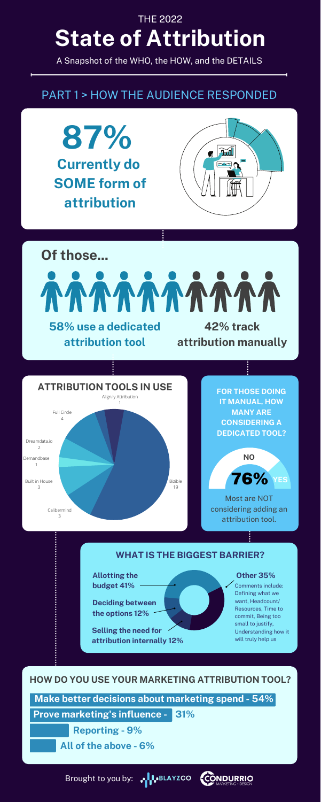## **State of Attribution** THE 2022

A Snapshot of the WHO, the HOW, and the DETAILS

**87% Currently do SOME form of attribution**





**ALAYZCO** Brought to you by:



**Make better decisions about marketing spend - 54%**

### **HOW DO YOU USE YOUR MARKETING ATTRIBUTION TOOL?**

**Prove marketing's influence - 31%**

**Reporting - 9%**

**All of the above - 6%**

#### **WHAT IS THE BIGGEST BARRIER?**

**Allotting the budget 41%**

**Deciding between the options 12%**

**Selling the need for attribution internally 12%**

#### **Other 35%**

Comments include: Defining what we want, Headcount/ Resources, Time to commit, Being too small to justify, Understanding how it will truly help us

### PART 1 > HOW THE AUDIENCE RESPONDED